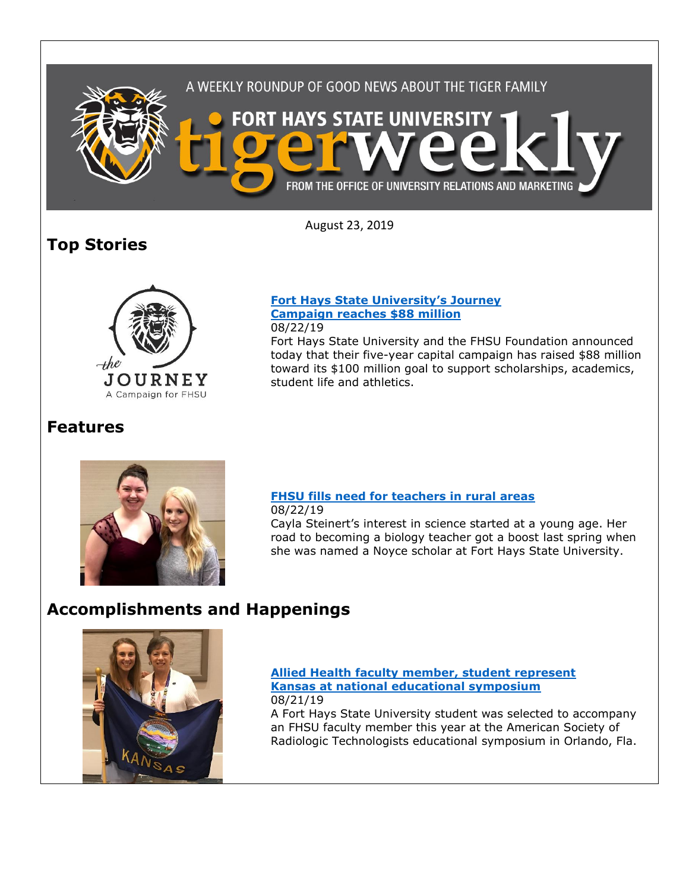

August 23, 2019

## **Top Stories**



### **[Fort Hays State University's Journey](https://www.fhsu.edu/news/2019/08/fort-hays-state-universitys-journey-campaign-reaches-88-million)  [Campaign reaches \\$88 million](https://www.fhsu.edu/news/2019/08/fort-hays-state-universitys-journey-campaign-reaches-88-million)** 08/22/19

Fort Hays State University and the FHSU Foundation announced today that their five-year capital campaign has raised \$88 million toward its \$100 million goal to support scholarships, academics, student life and athletics.

## **Features**



### **[FHSU fills need for teachers in rural areas](https://www.fhsu.edu/news/2019/08/fhsu-fills-need-for-teachers-in-rural-areas)**

08/22/19 Cayla Steinert's interest in science started at a young age. Her road to becoming a biology teacher got a boost last spring when she was named a Noyce scholar at Fort Hays State University.

## **Accomplishments and Happenings**



### **[Allied Health faculty member, student represent](https://www.fhsu.edu/news/2019/08/allied-health-faculty-member,-student-represent-kansas-at-national-educational-symposium)  [Kansas at national educational symposium](https://www.fhsu.edu/news/2019/08/allied-health-faculty-member,-student-represent-kansas-at-national-educational-symposium)** 08/21/19

A Fort Hays State University student was selected to accompany an FHSU faculty member this year at the American Society of Radiologic Technologists educational symposium in Orlando, Fla.